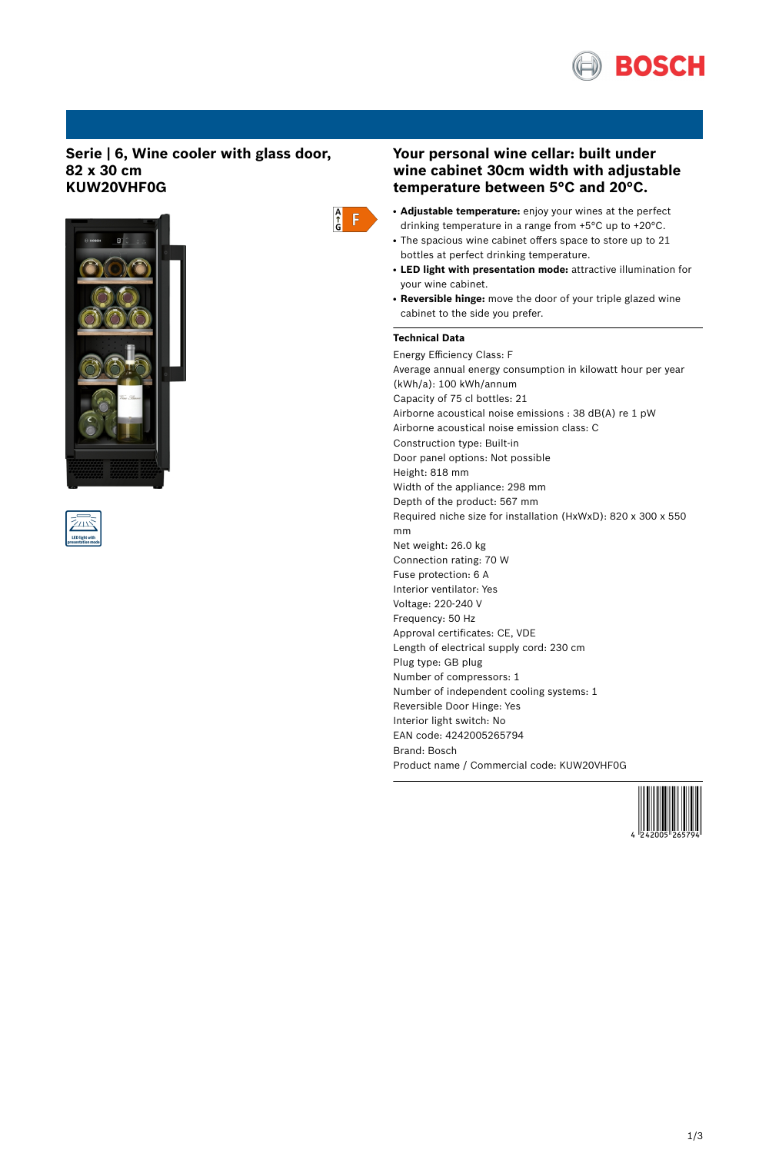

## **Serie | 6, Wine cooler with glass door, 82 x 30 cm KUW20VHF0G**







# **Your personal wine cellar: built under wine cabinet 30cm width with adjustable temperature between 5°C and 20°C.**

- **Adjustable temperature:** enjoy your wines at the perfect drinking temperature in a range from +5°C up to +20°C.
- The spacious wine cabinet offers space to store up to 21 bottles at perfect drinking temperature.
- **LED light with presentation mode:** attractive illumination for your wine cabinet.
- **Reversible hinge:** move the door of your triple glazed wine cabinet to the side you prefer.

# **Technical Data**

Energy Efficiency Class: F Average annual energy consumption in kilowatt hour per year (kWh/a): 100 kWh/annum Capacity of 75 cl bottles: 21 Airborne acoustical noise emissions : 38 dB(A) re 1 pW Airborne acoustical noise emission class: C Construction type: Built-in Door panel options: Not possible Height: 818 mm Width of the appliance: 298 mm Depth of the product: 567 mm Required niche size for installation (HxWxD): 820 x 300 x 550 mm Net weight: 26.0 kg Connection rating: 70 W Fuse protection: 6 A Interior ventilator: Yes Voltage: 220-240 V Frequency: 50 Hz Approval certificates: CE, VDE Length of electrical supply cord: 230 cm Plug type: GB plug Number of compressors: 1 Number of independent cooling systems: 1 Reversible Door Hinge: Yes Interior light switch: No EAN code: 4242005265794 Brand: Bosch Product name / Commercial code: KUW20VHF0G

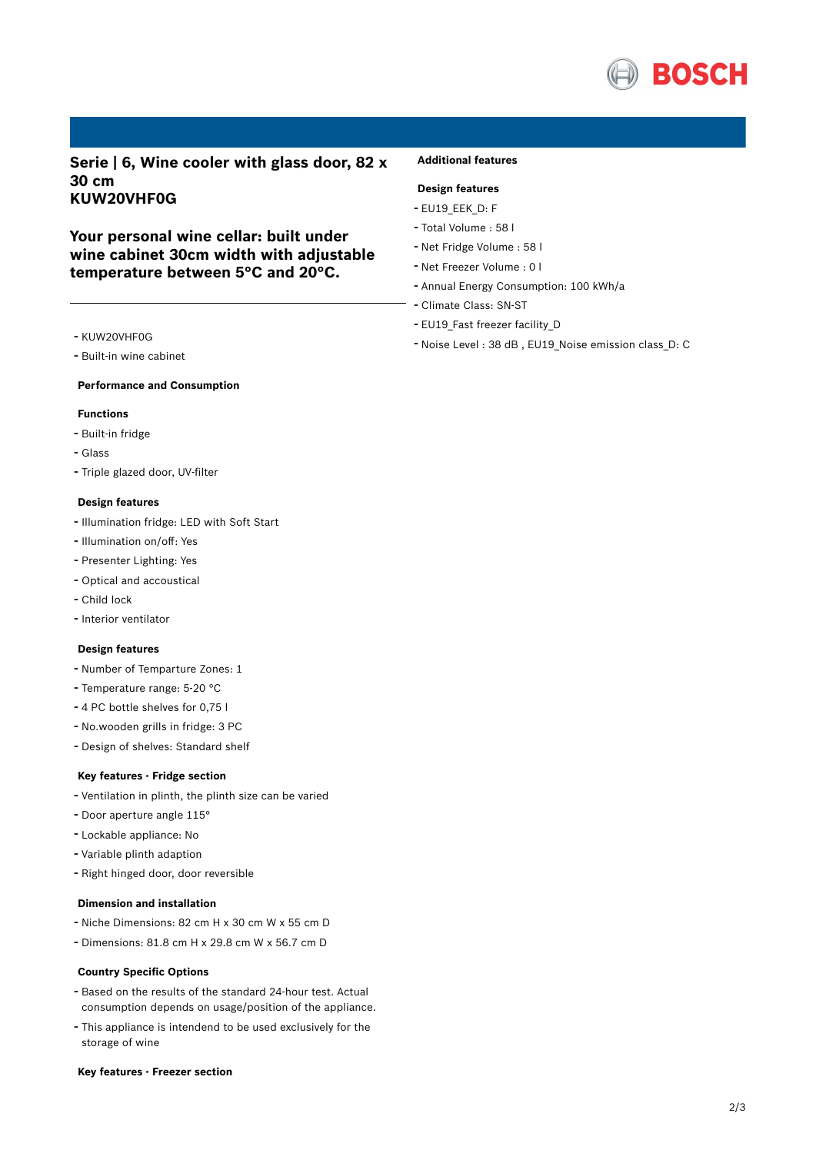

**Serie | 6, Wine cooler with glass door, 82 x 30 cm KUW20VHF0G**

**Your personal wine cellar: built under wine cabinet 30cm width with adjustable temperature between 5°C and 20°C.**

## **Additional features**

## **Design features**

- EU19\_EEK\_D: F
- Total Volume : <sup>58</sup> <sup>l</sup>
- Net Fridge Volume : <sup>58</sup> <sup>l</sup>
- Net Freezer Volume : <sup>0</sup> <sup>l</sup>
- Annual Energy Consumption: <sup>100</sup> kWh/a
- Climate Class: SN-ST
- EU19 Fast freezer facility D
- Noise Level : <sup>38</sup> dB , EU19\_Noise emission class\_D: <sup>C</sup>
- KUW20VHF0G
- Built-in wine cabinet

#### **Performance and Consumption**

#### **Functions**

- Built-in fridge
- Glass
- Triple glazed door, UV-filter

#### **Design features**

- Illumination fridge: LED with Soft Start
- Illumination on/off: Yes
- Presenter Lighting: Yes
- Optical and accoustical
- Child lock
- Interior ventilator

#### **Design features**

- Number of Temparture Zones: <sup>1</sup>
- Temperature range: 5-20 °C
- <sup>4</sup> PC bottle shelves for 0,75 <sup>l</sup>
- No.wooden grills in fridge: <sup>3</sup> PC
- Design of shelves: Standard shelf

#### **Key features - Fridge section**

- Ventilation in plinth, the plinth size can be varied
- Door aperture angle 115°
- Lockable appliance: No
- Variable plinth adaption
- Right hinged door, door reversible

#### **Dimension and installation**

- Niche Dimensions: <sup>82</sup> cm <sup>H</sup> <sup>x</sup> <sup>30</sup> cm <sup>W</sup> <sup>x</sup> <sup>55</sup> cm <sup>D</sup>
- Dimensions: 81.8 cm H x 29.8 cm W x 56.7 cm D

#### **Country Specific Options**

- Based on the results of the standard 24-hour test. Actual consumption depends on usage/position of the appliance.
- This appliance is intendend to be used exclusively for the storage of wine

#### **Key features - Freezer section**